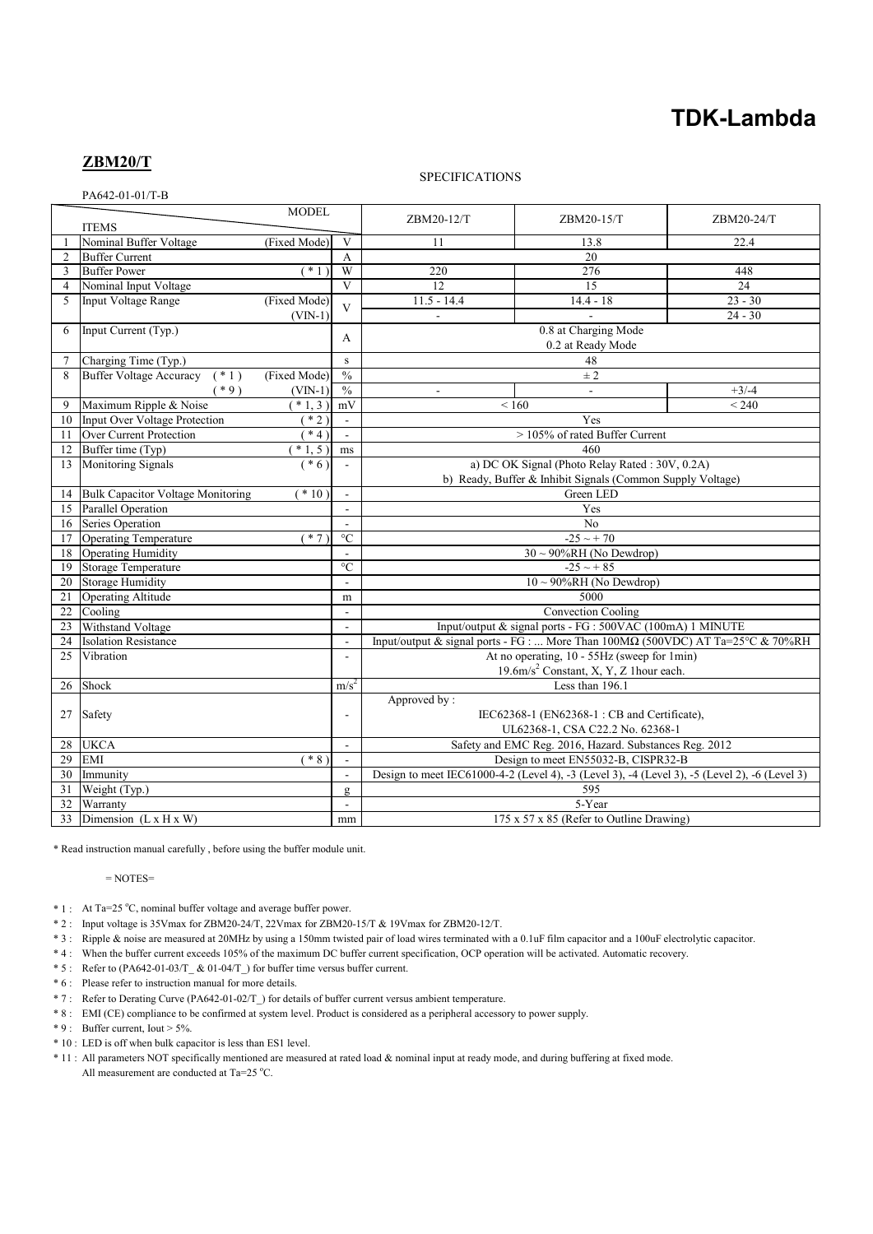# **TDK-Lambda**

# **ZBM20/T**

### SPECIFICATIONS

|                | PA642-01-01/T-B                          |                                                                                                    |                          |                                                                                                              |             |                 |  |
|----------------|------------------------------------------|----------------------------------------------------------------------------------------------------|--------------------------|--------------------------------------------------------------------------------------------------------------|-------------|-----------------|--|
|                | <b>MODEL</b>                             |                                                                                                    |                          | ZBM20-12/T                                                                                                   | ZBM20-15/T  | ZBM20-24/T      |  |
|                | <b>ITEMS</b>                             |                                                                                                    |                          |                                                                                                              |             |                 |  |
|                | Nominal Buffer Voltage                   | (Fixed Mode)                                                                                       | V                        | 11                                                                                                           | 13.8        | 22.4            |  |
| $\overline{2}$ | <b>Buffer Current</b>                    |                                                                                                    | A                        | 20                                                                                                           |             |                 |  |
| 3              | <b>Buffer Power</b>                      | $*1$                                                                                               | W                        | 220                                                                                                          | 276         | 448             |  |
| $\overline{4}$ | Nominal Input Voltage                    |                                                                                                    | $\overline{V}$           | $\overline{12}$                                                                                              | 15          | $\overline{24}$ |  |
| 5              | <b>Input Voltage Range</b>               | (Fixed Mode)                                                                                       | $\overline{\mathbf{V}}$  | $11.5 - 14.4$                                                                                                | $14.4 - 18$ | $23 - 30$       |  |
|                |                                          | $(VIN-1)$                                                                                          |                          | $24 - 30$<br>$\sim$                                                                                          |             |                 |  |
| 6              | Input Current (Typ.)                     |                                                                                                    | A                        |                                                                                                              |             |                 |  |
|                |                                          |                                                                                                    |                          | 0.2 at Ready Mode                                                                                            |             |                 |  |
| $\overline{7}$ | Charging Time (Typ.)                     |                                                                                                    | s                        | 48                                                                                                           |             |                 |  |
| 8              | <b>Buffer Voltage Accuracy</b><br>$(*1)$ | (Fixed Mode)                                                                                       | $\frac{0}{0}$            |                                                                                                              | $\pm 2$     |                 |  |
|                | $(*9)$                                   | $(VIN-1)$                                                                                          | $\frac{0}{0}$            |                                                                                                              | $\sim$      | $+3/-4$         |  |
| 9              | Maximum Ripple & Noise                   | $(* 1, 3)$                                                                                         | mV                       | ${}_{< 160}$                                                                                                 |             | < 240           |  |
| 10             | Input Over Voltage Protection            | $*2$                                                                                               | $\blacksquare$           | Yes                                                                                                          |             |                 |  |
| 11             | Over Current Protection                  | $*4)$                                                                                              | $\sim$                   | > 105% of rated Buffer Current                                                                               |             |                 |  |
| 12             | Buffer time (Typ)                        | $*1, 5)$                                                                                           | ms                       | 460                                                                                                          |             |                 |  |
| 13             | <b>Monitoring Signals</b>                | $(* 6)$                                                                                            | $\mathbf{r}$             | a) DC OK Signal (Photo Relay Rated: 30V, 0.2A)<br>b) Ready, Buffer & Inhibit Signals (Common Supply Voltage) |             |                 |  |
|                |                                          |                                                                                                    |                          |                                                                                                              |             |                 |  |
| 14             | <b>Bulk Capacitor Voltage Monitoring</b> | $*10$                                                                                              | $\blacksquare$           | Green LED                                                                                                    |             |                 |  |
| 15             | Parallel Operation                       |                                                                                                    |                          | Yes                                                                                                          |             |                 |  |
| 16             | Series Operation                         |                                                                                                    | $\sim$                   | No                                                                                                           |             |                 |  |
| 17             | <b>Operating Temperature</b>             | $*7$                                                                                               | $\rm ^{\circ}C$          | $-25 \sim +70$                                                                                               |             |                 |  |
| 18             | <b>Operating Humidity</b>                |                                                                                                    | $\sim$                   | $30 \sim 90\% RH$ (No Dewdrop)                                                                               |             |                 |  |
| 19             | <b>Storage Temperature</b>               | $\overline{C}$                                                                                     |                          | $-25 \sim +85$                                                                                               |             |                 |  |
| 20             | <b>Storage Humidity</b>                  |                                                                                                    | $\mathbf{r}$             | $10 \sim 90\% RH$ (No Dewdrop)                                                                               |             |                 |  |
| 21             | Operating Altitude                       |                                                                                                    | m                        | 5000                                                                                                         |             |                 |  |
| 22             | Cooling                                  |                                                                                                    | L.                       | Convection Cooling                                                                                           |             |                 |  |
| 23             | Withstand Voltage                        |                                                                                                    | $\mathbf{r}$             | Input/output & signal ports - FG : 500VAC (100mA) 1 MINUTE                                                   |             |                 |  |
| 24             | <b>Isolation Resistance</b>              |                                                                                                    | $\blacksquare$           | Input/output & signal ports - FG :  More Than 100MΩ (500VDC) AT Ta=25°C & 70%RH                              |             |                 |  |
| 25             | Vibration                                |                                                                                                    |                          | At no operating, 10 - 55Hz (sweep for 1min)                                                                  |             |                 |  |
|                |                                          |                                                                                                    |                          | 19.6m/s <sup>2</sup> Constant, X, Y, Z 1hour each.                                                           |             |                 |  |
| 26             | Shock                                    |                                                                                                    | $m/s^2$                  | Less than 196.1                                                                                              |             |                 |  |
|                |                                          |                                                                                                    |                          | Approved by:                                                                                                 |             |                 |  |
| 27             | Safety                                   |                                                                                                    | $\overline{a}$           | IEC62368-1 (EN62368-1: CB and Certificate),                                                                  |             |                 |  |
|                |                                          |                                                                                                    |                          | UL62368-1, CSA C22.2 No. 62368-1                                                                             |             |                 |  |
| 28             | <b>UKCA</b>                              |                                                                                                    | $\overline{\phantom{a}}$ | Safety and EMC Reg. 2016, Hazard. Substances Reg. 2012                                                       |             |                 |  |
| 29             | EMI                                      | $(* 8)$                                                                                            | $\overline{\phantom{a}}$ | Design to meet EN55032-B, CISPR32-B                                                                          |             |                 |  |
| 30             | Immunity                                 | Design to meet IEC61000-4-2 (Level 4), -3 (Level 3), -4 (Level 3), -5 (Level 2), -6 (Level 3)<br>÷ |                          |                                                                                                              |             |                 |  |
| 31             | Weight (Typ.)                            |                                                                                                    | $\mathbf{g}$             | 595                                                                                                          |             |                 |  |
| 32             | Warranty                                 |                                                                                                    | $\blacksquare$           | 5-Year                                                                                                       |             |                 |  |
| 33             | Dimension $(L \times H \times W)$        |                                                                                                    | $\rm mm$                 | 175 x 57 x 85 (Refer to Outline Drawing)                                                                     |             |                 |  |

\* Read instruction manual carefully , before using the buffer module unit.

 $=$  NOTES $=$ 

- \* 1 : At Ta=25 °C, nominal buffer voltage and average buffer power.
- \* 2 : Input voltage is 35Vmax for ZBM20-24/T, 22Vmax for ZBM20-15/T & 19Vmax for ZBM20-12/T.
- \* 3 : Ripple & noise are measured at 20MHz by using a 150mm twisted pair of load wires terminated with a 0.1uF film capacitor and a 100uF electrolytic capacitor.
- \* 4 : When the buffer current exceeds 105% of the maximum DC buffer current specification, OCP operation will be activated. Automatic recovery.
- \* 5 : Refer to (PA642-01-03/T\_ & 01-04/T\_) for buffer time versus buffer current.
- \* 6 : Please refer to instruction manual for more details.
- \* 7 : Refer to Derating Curve (PA642-01-02/T\_) for details of buffer current versus ambient temperature.
- \* 8 : EMI (CE) compliance to be confirmed at system level. Product is considered as a peripheral accessory to power supply.
- \* 9 : Buffer current, Iout > 5%.
- \* 10 : LED is off when bulk capacitor is less than ES1 level.
- \* 11 : All parameters NOT specifically mentioned are measured at rated load & nominal input at ready mode, and during buffering at fixed mode. All measurement are conducted at Ta=25  $^{\circ}$ C.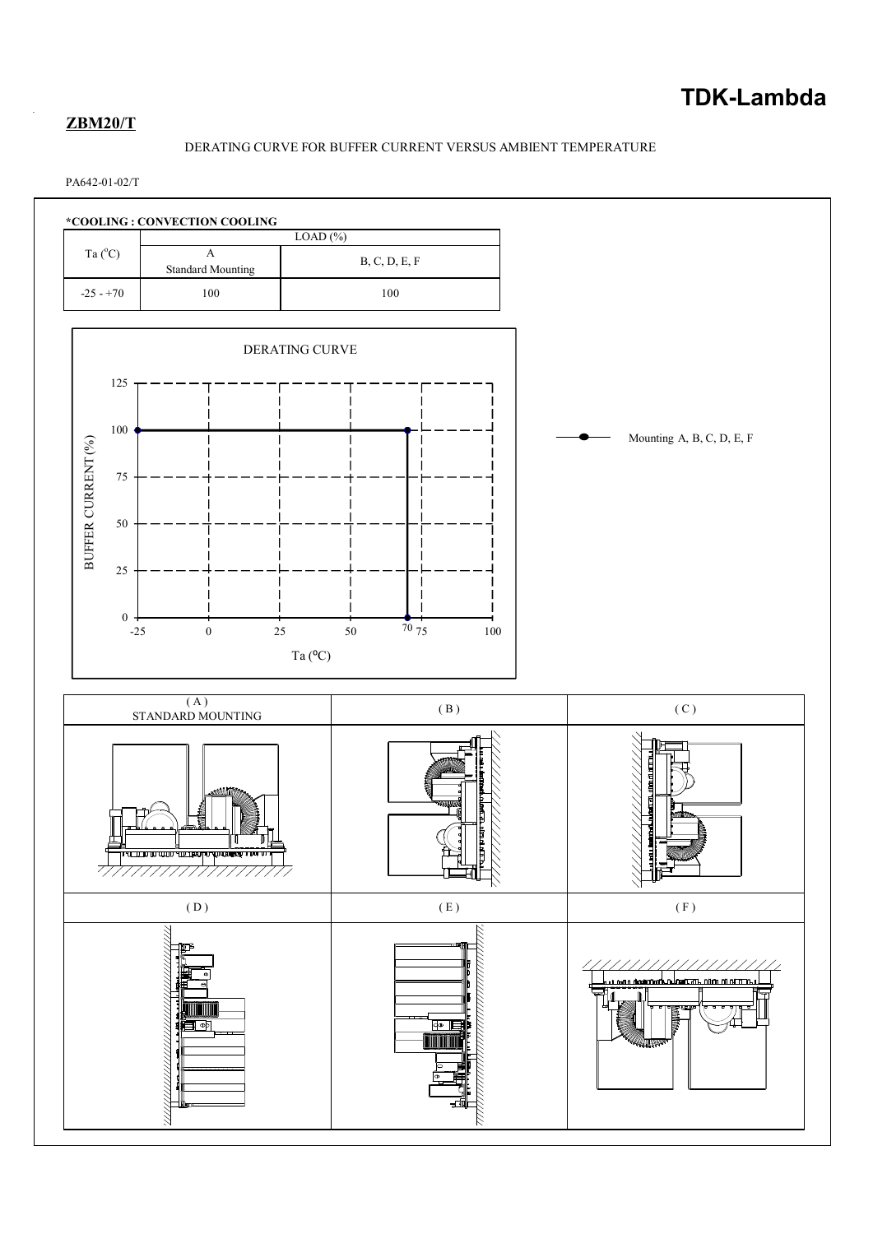# **ZBM20/T**

# DERATING CURVE FOR BUFFER CURRENT VERSUS AMBIENT TEMPERATURE

## PA642-01-02/T

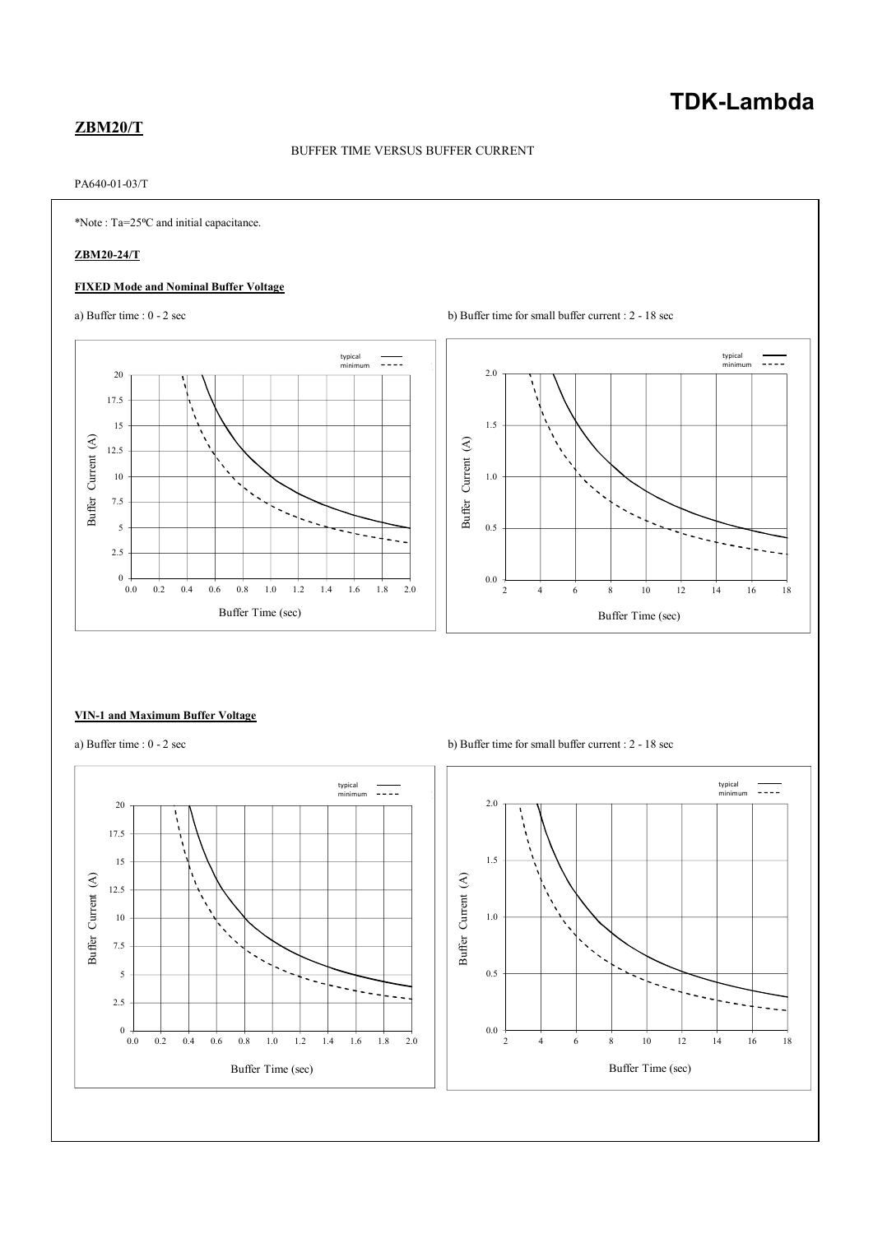# **TDK-Lambda**

# **ZBM20/T**

# BUFFER TIME VERSUS BUFFER CURRENT

# PA640-01-03/T

\*Note : Ta=25⁰C and initial capacitance.

# **ZBM20-24/T**

## **FIXED Mode and Nominal Buffer Voltage**





#### **VIN-1 and Maximum Buffer Voltage**



a) Buffer time :  $0 - 2 \sec$  b) Buffer time for small buffer current :  $2 - 18 \sec$